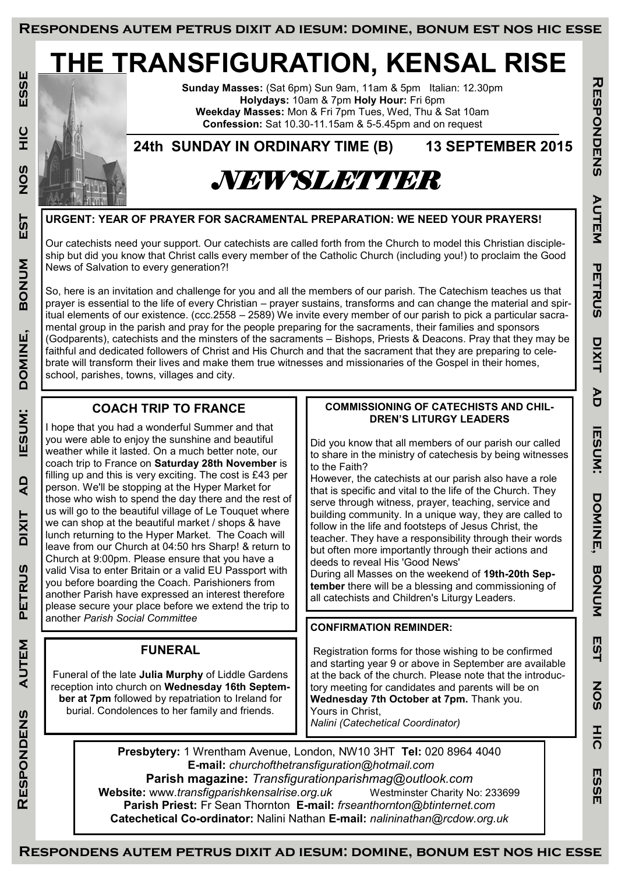# **THE TRANSFIGURATION, KENSAL RISE**

ESSE **Respondens autem petrus dixit ad iesum: domine, bonum est nos hic esse**  $\frac{C}{L}$ **SON EST MUNOB** DOMINE, **IESUM:**  $\overline{\mathbf{A}}$ **DIXIT PETRUS AUTEM** RESPONDENS

**Sunday Masses:** (Sat 6pm) Sun 9am, 11am & 5pm Italian: 12.30pm **Holydays:** 10am & 7pm **Holy Hour:** Fri 6pm **Weekday Masses:** Mon & Fri 7pm Tues, Wed, Thu & Sat 10am **Confession:** Sat 10.30-11.15am & 5-5.45pm and on request

**24th SUNDAY IN ORDINARY TIME (B) 13 SEPTEMBER 2015**

## *NEWSLETTER*

**URGENT: YEAR OF PRAYER FOR SACRAMENTAL PREPARATION: WE NEED YOUR PRAYERS!**

Our catechists need your support. Our catechists are called forth from the Church to model this Christian discipleship but did you know that Christ calls every member of the Catholic Church (including you!) to proclaim the Good News of Salvation to every generation?!

So, here is an invitation and challenge for you and all the members of our parish. The Catechism teaches us that prayer is essential to the life of every Christian – prayer sustains, transforms and can change the material and spiritual elements of our existence. (ccc.2558 – 2589) We invite every member of our parish to pick a particular sacramental group in the parish and pray for the people preparing for the sacraments, their families and sponsors (Godparents), catechists and the minsters of the sacraments – Bishops, Priests & Deacons. Pray that they may be faithful and dedicated followers of Christ and His Church and that the sacrament that they are preparing to celebrate will transform their lives and make them true witnesses and missionaries of the Gospel in their homes, school, parishes, towns, villages and city.

### **COACH TRIP TO FRANCE**

I hope that you had a wonderful Summer and that you were able to enjoy the sunshine and beautiful weather while it lasted. On a much better note, our coach trip to France on **Saturday 28th November** is filling up and this is very exciting. The cost is £43 per person. We'll be stopping at the Hyper Market for those who wish to spend the day there and the rest of us will go to the beautiful village of Le Touquet where we can shop at the beautiful market / shops & have lunch returning to the Hyper Market. The Coach will leave from our Church at 04:50 hrs Sharp! & return to Church at 9:00pm. Please ensure that you have a valid Visa to enter Britain or a valid EU Passport with you before boarding the Coach. Parishioners from another Parish have expressed an interest therefore please secure your place before we extend the trip to another *Parish Social Committee*

## **FUNERAL**

Funeral of the late **Julia Murphy** of Liddle Gardens reception into church on **Wednesday 16th September at 7pm** followed by repatriation to Ireland for burial. Condolences to her family and friends.

#### **COMMISSIONING OF CATECHISTS AND CHIL-DREN'S LITURGY LEADERS**

Did you know that all members of our parish our called to share in the ministry of catechesis by being witnesses to the Faith?

**Respondens autem petrus dixit ad iesum: domine, bonum est nos hic esse**

**IESUM:** 

DONINE,

**BONOM** 

EST

SON

 $rac{1}{20}$ 

**HOSE** 

**THOPONDENS** 

AUTEM

**PETRUS** 

**DIXIT** 

AD

However, the catechists at our parish also have a role that is specific and vital to the life of the Church. They serve through witness, prayer, teaching, service and building community. In a unique way, they are called to follow in the life and footsteps of Jesus Christ, the teacher. They have a responsibility through their words but often more importantly through their actions and deeds to reveal His 'Good News'

During all Masses on the weekend of **19th-20th September** there will be a blessing and commissioning of all catechists and Children's Liturgy Leaders.

#### **CONFIRMATION REMINDER:**

Registration forms for those wishing to be confirmed and starting year 9 or above in September are available at the back of the church. Please note that the introductory meeting for candidates and parents will be on **Wednesday 7th October at 7pm.** Thank you. Yours in Christ,

*Nalini (Catechetical Coordinator)* 

**Presbytery:** 1 Wrentham Avenue, London, NW10 3HT **Tel:** 020 8964 4040 **E-mail:** *churchofthetransfiguration@hotmail.com* 

**Parish magazine:** *Transfigurationparishmag@outlook.com* **Website:** www.*transfigparishkensalrise.org.uk* Westminster Charity No: 233699 **Parish Priest:** Fr Sean Thornton **E-mail:** *frseanthornton@btinternet.com*  **Catechetical Co-ordinator:** Nalini Nathan **E-mail:** *nalininathan@rcdow.org.uk*